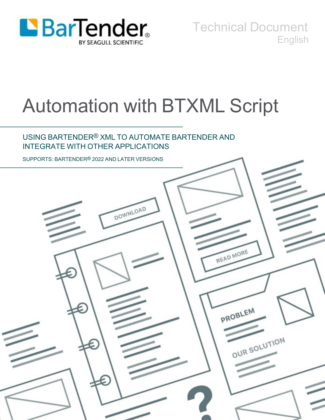

Technical Document English

# Automation with BTXML Script

## USING BARTENDER® XML TO AUTOMATE BARTENDER AND INTEGRATE WITH OTHER APPLICATIONS

SUPPORTS: BARTENDER® 2022 AND LATER VERSIONS

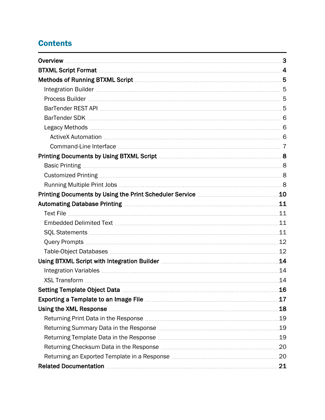# **Contents**

|                                                                                                                       | 11 |
|-----------------------------------------------------------------------------------------------------------------------|----|
|                                                                                                                       |    |
|                                                                                                                       |    |
|                                                                                                                       |    |
|                                                                                                                       |    |
|                                                                                                                       |    |
|                                                                                                                       | 14 |
|                                                                                                                       |    |
|                                                                                                                       | 14 |
|                                                                                                                       | 16 |
| <b>Exporting a Template to an Image File manually continued as Template to an Image File manually continued and t</b> | 17 |
| Using the XML Response <b>Manual Community</b> Contract Community Community Community Community Community Community   | 18 |
|                                                                                                                       |    |
|                                                                                                                       |    |
|                                                                                                                       | 19 |
|                                                                                                                       | 20 |
|                                                                                                                       |    |
|                                                                                                                       |    |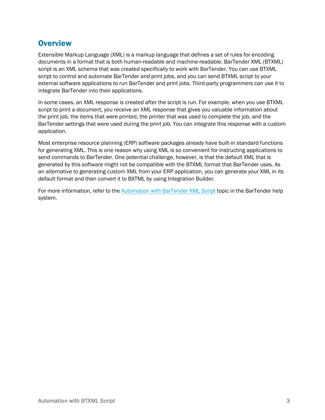## <span id="page-2-0"></span>**Overview**

Extensible Markup Language (XML) is a markup language that defines a set of rules for encoding documents in a format that is both human-readable and machine-readable. BarTender XML (BTXML) script is an XML schema that was created specifically to work with BarTender. You can use BTXML script to control and automate BarTender and print jobs, and you can send BTXML script to your external software applications to run BarTender and print jobs. Third-party programmers can use it to integrate BarTender into their applications.

In some cases, an XML response is created after the script is run. For example, when you use BTXML script to print a document, you receive an XML response that gives you valuable information about the print job, the items that were printed, the printer that was used to complete the job, and the BarTender settings that were used during the print job. You can integrate this response with a custom application.

Most enterprise resource planning (ERP) software packages already have built-in standard functions for generating XML. This is one reason why using XML is so convenient for instructing applications to send commands to BarTender. One potential challenge, however, is that the default XML that is generated by this software might not be compatible with the BTXML format that BarTender uses. As an alternative to generating custom XML from your ERP application, you can generate your XML in its default format and then convert it to BXTML by using Integration Builder.

For more information, refer to the [Automation](http://help.seagullscientific.com/#../Subsystems/BTXML/Content/Overview.htm) with BarTender XML Script topic in the BarTender help system.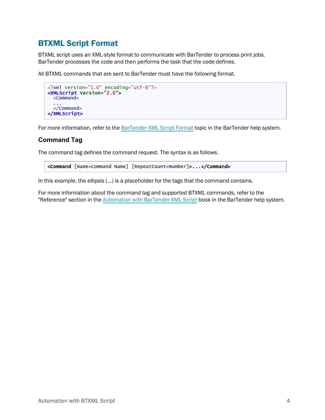## <span id="page-3-0"></span>BTXML Script Format

BTXML script uses an XML-style format to communicate with BarTender to process print jobs. BarTender processes the code and then performs the task that the code defines.

All BTXML commands that are sent to BarTender must have the following format.

```
<?xml version="1.0" encoding="utf-8"?>
<XMLScript Version="2.0">
 <Command>
  ...
  </Command>
</XMLScript>
```
For more information, refer to the [BarTender](http://help.seagullscientific.com/#../Subsystems/BTXML/Content/MessageFormat_Request_Tag.htm) XML Script Format topic in the BarTender help system.

#### **Command Tag**

The command tag defines the command request. The syntax is as follows.

<Command [Name=Command Name] [RepeatCount=Number]>...</Command>

In this example, the ellipsis (...) is a placeholder for the tags that the command contains.

For more information about the command tag and supported BTXML commands, refer to the "Reference" section in the [Automation](http://help.seagullscientific.com/#../Subsystems/BTXML/Content/Overview.htm) with BarTender XML Script book in the BarTender help system.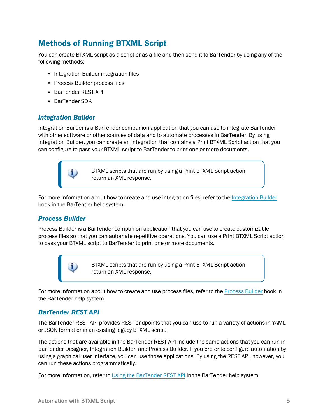# <span id="page-4-0"></span>Methods of Running BTXML Script

You can create BTXML script as a script or as a file and then send it to BarTender by using any of the following methods:

- Integration Builder integration files
- Process Builder process files
- BarTender REST API
- BarTender SDK

i.

#### <span id="page-4-1"></span>*Integration Builder*

Integration Builder is a BarTender companion application that you can use to integrate BarTender with other software or other sources of data and to automate processes in BarTender. By using Integration Builder, you can create an integration that contains a Print BTXML Script action that you can configure to pass your BTXML script to BarTender to print one or more documents.



For more information about how to create and use integration files, refer to the [Integration](http://help.seagullscientific.com/#../Subsystems/IntegrationBuilder/Content/IntegrationBuilder_Main.html) Builder book in the BarTender help system.

#### <span id="page-4-2"></span>*Process Builder*

Process Builder is a BarTender companion application that you can use to create customizable process files so that you can automate repetitive operations. You can use a Print BTXML Script action to pass your BTXML script to BarTender to print one or more documents.

> BTXML scripts that are run by using a Print BTXML Script action return an XML response.

For more information about how to create and use process files, refer to the [Process](http://help.seagullscientific.com/#../Subsystems/ProcessBuilder/Content/ProcessBuilder_Main.html) Builder book in the BarTender help system.

#### <span id="page-4-3"></span>*BarTender REST API*

i.

The BarTender REST API provides REST endpoints that you can use to run a variety of actions in YAML or JSON format or in an existing legacy BTXML script.

The actions that are available in the BarTender REST API include the same actions that you can run in BarTender Designer, Integration Builder, and Process Builder. If you prefer to configure automation by using a graphical user interface, you can use those applications. By using the REST API, however, you can run these actions programmatically.

For more information, refer to Using the [BarTender](http://help.seagullscientific.com/#API_BarTender.htm) REST API in the BarTender help system.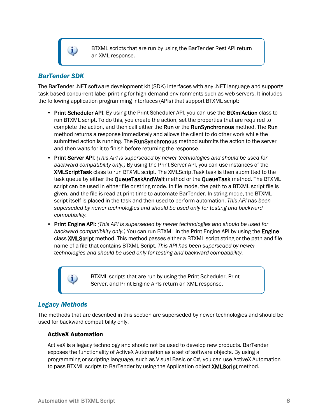i

BTXML scripts that are run by using the BarTender Rest API return an XML response.

## <span id="page-5-0"></span>*BarTender SDK*

The BarTender .NET software development kit (SDK) interfaces with any .NET language and supports task-based concurrent label printing for high-demand environments such as web servers. It includes the following application programming interfaces (APIs) that support BTXML script:

- Print Scheduler API: By using the Print Scheduler API, you can use the BtXmlAction class to run BTXML script. To do this, you create the action, set the properties that are required to complete the action, and then call either the Run or the RunSynchronous method. The Run method returns a response immediately and allows the client to do other work while the submitted action is running. The **RunSynchronous** method submits the action to the server and then waits for it to finish before returning the response.
- <sup>l</sup> Print Server API: *(This API is superseded by newer technologies and should be used for backward compatibility only.)* By using the Print Server API, you can use instances of the XMLScriptTask class to run BTXML script. The XMLScriptTask task is then submitted to the task queue by either the **QueueTaskAndWait** method or the **QueueTask** method. The BTXML script can be used in either file or string mode. In file mode, the path to a BTXML script file is given, and the file is read at print time to automate BarTender. In string mode, the BTXML script itself is placed in the task and then used to perform automation. *This API has been superseded by newer technologies and should be used only for testing and backward compatibility.*
- <sup>l</sup> Print Engine API: *(This API is superseded by newer technologies and should be used for backward compatibility only.)* You can run BTXML in the Print Engine API by using the Engine class XMLScript method. This method passes either a BTXML script string or the path and file name of a file that contains BTXML Script. *This API has been superseded by newer technologies and should be used only for testing and backward compatibility.*

BTXML scripts that are run by using the Print Scheduler, Print Server, and Print Engine APIs return an XML response.

## <span id="page-5-1"></span>*Legacy Methods*

The methods that are described in this section are superseded by newer technologies and should be used for backward compatibility only.

#### <span id="page-5-2"></span>ActiveX Automation

i.

ActiveX is a legacy technology and should not be used to develop new products. BarTender exposes the functionality of ActiveX Automation as a set of software objects. By using a programming or scripting language, such as Visual Basic or C#, you can use ActiveX Automation to pass BTXML scripts to BarTender by using the Application object **XMLScript** method.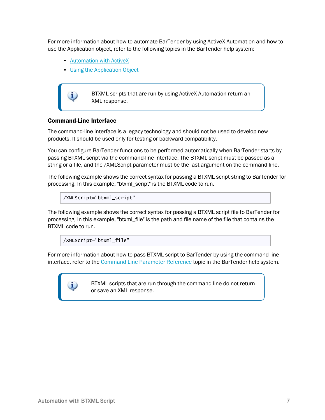For more information about how to automate BarTender by using ActiveX Automation and how to use the Application object, refer to the following topics in the BarTender help system:

- [Automation](http://help.seagullscientific.com/#../Subsystems/ActiveX/Content/BT_ActiveX.htm) with ActiveX
- Using the [Application](http://help.seagullscientific.com/#../Subsystems/ActiveX/Content/Using_Application_Object.htm) Object



BTXML scripts that are run by using ActiveX Automation return an XML response.

#### <span id="page-6-0"></span>Command-Line Interface

The command-line interface is a legacy technology and should not be used to develop new products. It should be used only for testing or backward compatibility.

You can configure BarTender functions to be performed automatically when BarTender starts by passing BTXML script via the command-line interface. The BTXML script must be passed as a string or a file, and the /XMLScript parameter must be the last argument on the command line.

The following example shows the correct syntax for passing a BTXML script string to BarTender for processing. In this example, "btxml\_script" is the BTXML code to run.

/XMLScript="btxml\_script"

The following example shows the correct syntax for passing a BTXML script file to BarTender for processing. In this example, "btxml\_file" is the path and file name of the file that contains the BTXML code to run.

/XMLScript="btxml\_file"

For more information about how to pass BTXML script to BarTender by using the command-line interface, refer to the Command Line [Parameter](http://help.seagullscientific.com/#file_command_params_command_summary.htm) Reference topic in the BarTender help system.

> BTXML scripts that are run through the command line do not return or save an XML response.

i.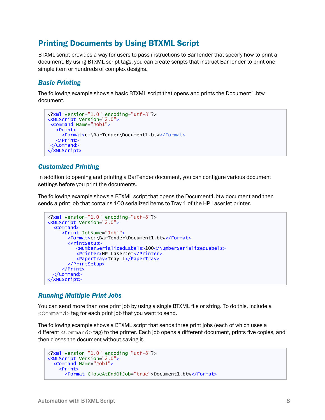## <span id="page-7-0"></span>Printing Documents by Using BTXML Script

BTXML script provides a way for users to pass instructions to BarTender that specify how to print a document. By using BTXML script tags, you can create scripts that instruct BarTender to print one simple item or hundreds of complex designs.

## <span id="page-7-1"></span>*Basic Printing*

The following example shows a basic BTXML script that opens and prints the Document1.btw document.

```
<?xml version="1.0" encoding="utf-8"?>
<XMLScript Version="2.0">
<Command Name="Job1">
  <Print>
     <Format>c:\BarTender\Document1.btw</Format>
   </Print>
</Command>
</XMLScript>
```
#### <span id="page-7-2"></span>*Customized Printing*

In addition to opening and printing a BarTender document, you can configure various document settings before you print the documents.

The following example shows a BTXML script that opens the Document1.btw document and then sends a print job that contains 100 serialized items to Tray 1 of the HP LaserJet printer.

```
<?xml version="1.0" encoding="utf-8"?>
<XMLScript Version="2.0">
 <Command>
    <Print JobName="Job1">
      <Format>c:\BarTender\Document1.btw</Format>
      <PrintSetup>
          <NumberSerializedLabels>100</NumberSerializedLabels>
          <Printer>HP LaserJet</Printer>
          <PaperTray>Tray 1</PaperTray>
      </PrintSetup>
    </Print>
  </Command>
</XMLScript>
```
#### <span id="page-7-3"></span>*Running Multiple Print Jobs*

You can send more than one print job by using a single BTXML file or string. To do this, include a <Command> tag for each print job that you want to send.

The following example shows a BTXML script that sends three print jobs (each of which uses a different <Command> tag) to the printer. Each job opens a different document, prints five copies, and then closes the document without saving it.

```
<?xml version="1.0" encoding="utf-8"?>
<XMLScript Version="2.0">
 <Command Name="Job1">
   <Print>
     <Format CloseAtEndOfJob="true">Document1.btw</Format>
```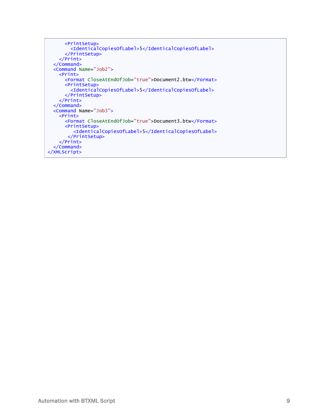```
<PrintSetup>
       <IdenticalCopiesOfLabel>5</IdenticalCopiesOfLabel>
     </PrintSetup>
   </Print>
 </Command>
 <Command Name="Job2">
   <Print>
      <Format CloseAtEndOfJob="true">Document2.btw</Format>
     <PrintSetup>
       <IdenticalCopiesOfLabel>5</IdenticalCopiesOfLabel>
     </PrintSetup>
   </Print>
 </Command>
 <Command Name="Job3">
   <Print>
     <Format CloseAtEndOfJob="true">Document3.btw</Format>
      <PrintSetup>
         <IdenticalCopiesOfLabel>5</IdenticalCopiesOfLabel>
      </PrintSetup>
   </Print>
 </Command>
</XMLScript>
```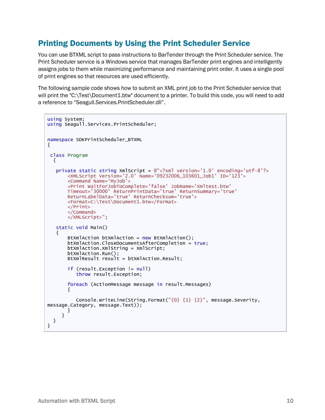## <span id="page-9-0"></span>Printing Documents by Using the Print Scheduler Service

You can use BTXML script to pass instructions to BarTender through the Print Scheduler service. The Print Scheduler service is a Windows service that manages BarTender print engines and intelligently assigns jobs to them while maximizing performance and maintaining print order. It uses a single pool of print engines so that resources are used efficiently.

The following sample code shows how to submit an XML print job to the Print Scheduler service that will print the "C:\Test\Document1.btw" document to a printer. To build this code, you will need to add a reference to "Seagull.Services.PrintScheduler.dll".

```
using System;
using Seagull.Services.PrintScheduler;
namespace SDKPrintScheduler_BTXML
{
 class Program
 { 
   private static string XmScript = \mathbb{Q}^n < ? Xm version='1.0' encoding='utf-8'?>
       <XMLScript Version='2.0' Name='09232006_103601_Job1' ID='123'>
       <Command Name='MyJob'>
       <Print WaitForJobToComplete='false' JobName='Xmltest.btw'
       Timeout='30000' ReturnPrintData='true' ReturnSummary='true'
       ReturnLabelData='true' ReturnChecksum='true'>
       <Format>C:\Test\Document1.btw</Format>
       </Print>
       </Command>
       </XMLScript>";
   static void Main()
   {
       BtXmlAction btXmlAction = new BtXmlAction();
       btXmlAction.CloseDocumentsAfterCompletion = true;
              btXmlAction.XmlString = XmlScript;
              btXmlAction.Run();
              BtXmlResult result = btXmlAction.Result;
       if (result.Exception != null)
          throw result.Exception;
       foreach (ActionMessage message in result.Messages)
       {
                    Console.WriteLine(String.Format("{0} {1} {2}", message.Severity,
message.Category, message.Text));
              }
          }
   }
}
```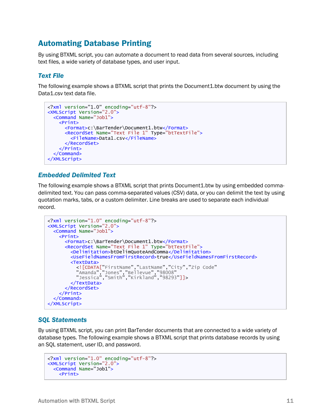## <span id="page-10-0"></span>Automating Database Printing

By using BTXML script, you can automate a document to read data from several sources, including text files, a wide variety of database types, and user input.

#### <span id="page-10-1"></span>*Text File*

The following example shows a BTXML script that prints the Document1.btw document by using the Data1.csv text data file.

```
<?xml version="1.0" encoding="utf-8"?>
<XMLScript Version="2.0">
 <Command Name="Job1">
   <Print>
      <Format>c:\BarTender\Document1.btw</Format>
      <RecordSet Name="Text File 1" Type="btTextFile">
        <FileName>Data1.csv</FileName>
      </RecordSet>
   </Print>
  </Command>
</XMLScript>
```
#### <span id="page-10-2"></span>*Embedded Delimited Text*

The following example shows a BTXML script that prints Document1.btw by using embedded commadelimited text. You can pass comma-separated values (CSV) data, or you can delimit the text by using quotation marks, tabs, or a custom delimiter. Line breaks are used to separate each individual record.

```
<?xml version="1.0" encoding="utf-8"?>
<XMLScript Version="2.0">
 <Command Name="Job1">
   <Print>
      <Format>c:\BarTender\Document1.btw</Format>
      <RecordSet Name="Text File 1" Type="btTextFile">
        <Delimitation>btDelimQuoteAndComma</Delimitation>
        <UseFieldNamesFromFirstRecord>true</UseFieldNamesFromFirstRecord>
        <TextData>
          <![CDATA["FirstName","LastName","City","Zip Code"
          "Amanda","Jones","Bellevue","98008"
          "Jessica","Smith","Kirkland","98293"]]>
        </TextData>
      </RecordSet>
   </Print>
  </Command>
</XMLScript>
```
#### <span id="page-10-3"></span>*SQL Statements*

By using BTXML script, you can print BarTender documents that are connected to a wide variety of database types. The following example shows a BTXML script that prints database records by using an SQL statement, user ID, and password.

```
<?xml version="1.0" encoding="utf-8"?>
<XMLScript Version="2.0">
 <Command Name="Job1">
   <Print>
```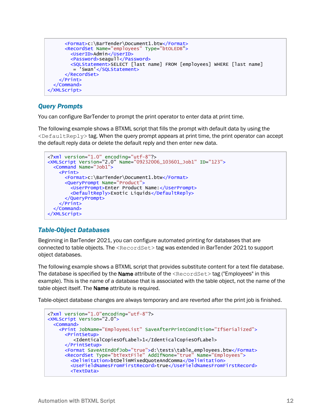```
<Format>c:\BarTender\Document1.btw</Format>
     <RecordSet Name="employees" Type="btOLEDB">
       <UserID>Admin</UserID>
       <Password>seagull</Password>
        <SQLStatement>SELECT [last name] FROM [employees] WHERE [last name]
        = 'Swan'</SQLStatement>
      </RecordSet>
    </Print>
 </Command>
</XMLScript>
```
## <span id="page-11-0"></span>*Query Prompts*

You can configure BarTender to prompt the print operator to enter data at print time.

The following example shows a BTXML script that fills the prompt with default data by using the  $\leq$ DefaultReply> tag. When the query prompt appears at print time, the print operator can accept the default reply data or delete the default reply and then enter new data.

```
<?xml version="1.0" encoding="utf-8"?>
<XMLScript Version="2.0" Name="09232006_103601_Job1" ID="123">
 <Command Name="Job1">
   <Print>
     <Format>c:\BarTender\Document1.btw</Format>
     <QueryPrompt Name="Product">
        <UserPrompt>Enter Product Name:</UserPrompt>
        <DefaultReply>Exotic Liquids</DefaultReply>
     </QueryPrompt>
   </Print>
 </Command>
</XMLScript>
```
## <span id="page-11-1"></span>*Table-Object Databases*

Beginning in BarTender 2021, you can configure automated printing for databases that are connected to table objects. The  $\leq$ RecordSet $>$ tag was extended in BarTender 2021 to support object databases.

The following example shows a BTXML script that provides substitute content for a text file database. The database is specified by the **Name** attribute of the  $\leq$ RecordSet $>$ tag ("Employees" in this example). This is the name of a database that is associated with the table object, not the name of the table object itself. The **Name** attribute is required.

Table-object database changes are always temporary and are reverted after the print job is finished.

```
<?xml version="1.0"encoding="utf-8"?>
<XMLScript Version="2.0">
 <Command>
   <Print JobName="EmployeeList" SaveAfterPrintCondition="IfSerialized">
      <PrintSetup>
         <IdenticalCopiesOfLabel>1</IdenticalCopiesOfLabel>
      </PrintSetup>
      <Format SaveAtEndOfJob="true">d:\tests\table_employees.btw</Format>
      <RecordSet Type="btTextFile" AddIfNone="true" Name="Employees">
        <Delimitation>btDelimMixedQuoteAndComma</Delimitation>
        <UseFieldNamesFromFirstRecord>true</UseFieldNamesFromFirstRecord>
        <TextData>
```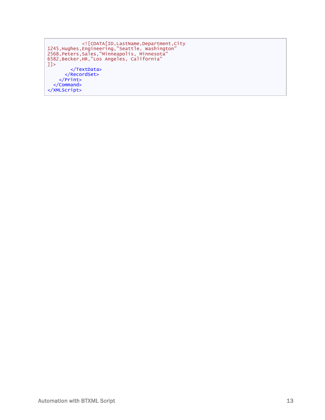```
<![CDATA[ID,LastName,Department,City
1245,Hughes,Engineering,"Seattle, Washington"
2568,Peters,Sales,"Minneapolis, Minnesota"
6582,Becker,HR,"Los Angeles, California"
]]>
        </TextData>
      </RecordSet>
    </Print>
 </Command>
</XMLScript>
```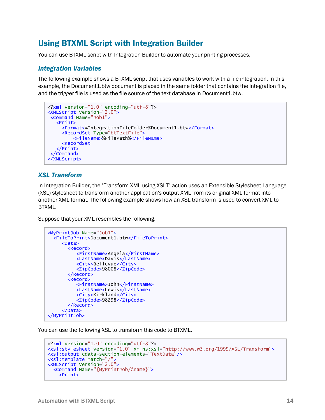# <span id="page-13-0"></span>Using BTXML Script with Integration Builder

<span id="page-13-1"></span>You can use BTXML script with Integration Builder to automate your printing processes.

#### *Integration Variables*

The following example shows a BTXML script that uses variables to work with a file integration. In this example, the Document1.btw document is placed in the same folder that contains the integration file, and the trigger file is used as the file source of the text database in Document1.btw.

```
<?xml version="1.0" encoding="utf-8"?>
<XMLScript Version="2.0">
 <Command Name="Job1">
   <Print>
     <Format>%IntegrationFileFolder%Document1.btw</Format>
     <RecordSet Type="btTextFile">
         <FileName>%FilePath%</FileName>
     <RecordSet
   </Print>
 </Command>
</XMLScript>
```
#### <span id="page-13-2"></span>*XSL Transform*

In Integration Builder, the "Transform XML using XSLT" action uses an Extensible Stylesheet Language (XSL) stylesheet to transform another application's output XML from its original XML format into another XML format. The following example shows how an XSL transform is used to convert XML to BTXML.

Suppose that your XML resembles the following.

```
<MyPrintJob Name="Job1">
 <FileToPrint>Document1.btw</FileToPrint>
    <Data>
      <Record>
          <FirstName>Angela</FirstName>
          <LastName>Davis</LastName>
          <City>Bellevue</City>
          <ZipCode>98008</ZipCode>
       </Record>
       <Record>
          <FirstName>John</FirstName>
          <LastName>Lewis</LastName>
          <City>Kirkland</City>
          <ZipCode>98298</ZipCode>
       </Record>
    </Data>
</MyPrintJob>
```
You can use the following XSL to transform this code to BTXML.

```
<?xml version="1.0" encoding="utf-8"?>
<xsl:stylesheet version="1.0" xmlns:xsl="http://www.w3.org/1999/XSL/Transform">
<xsl:output cdata-section-elements="TextData"/>
<xsl:template match="/">
<XMLScript Version="2.0">
 <Command Name="{MyPrintJob/@name}">
   <Print>
```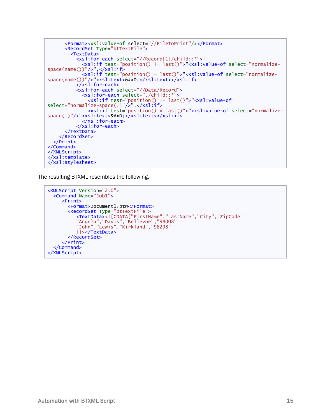```
<Format><xsl:value-of select="//FileToPrint"/></Format>
      <RecordSet Type="btTextFile">
        <TextData>
          <xsl:for-each select="//Record[1]/child::*">
             <xsl:if test="position() != last()">"<xsl:value-of select="normalize-
space(name())"/>",</xsl:if>
             <xsl:if test="position() = last()">"<xsl:value-of select="normalize-
space(name())"/>"<xsl:text>&#xD:</xsl:text></xsl:if>
          \frac{1}{2} xs<sup>1</sup>: for-each>
          <xsl:for-each select="//Data/Record">
             <xsl:for-each select="./child::*">
               <xsl:if test="position() != last()">"<xsl:value-of
select="normalize-space(.)"/>",</xsl:if>
               <xsl:if test="position() = last()">"<xsl:value-of select="normalize-
space(.)"/>"<xsl:text>&#xD;</xsl:text></xsl:if>
            </xsl:for-each>
          </xsl:for-each>
      </TextData>
    </RecordSet>
  </Print>
</Command>
</XMLScript>
\frac{1}{x} xsl:template>
</xsl:stylesheet>
```
The resulting BTXML resembles the following.

```
<XMLScript Version="2.0">
 <Command Name="Job1">
    <Print>
       <Format>Document1.btw</Format>
       <RecordSet Type="btTextFile">
          <TextData><![CDATA["FirstName","LastName","City","ZipCode"
          "Angela","Davis","Bellevue","98008"
          "John","Lewis","Kirkland","98298"
                    ]]></TextData>
       </RecordSet>
     </Print>
 </Command>
</XMLScript>
```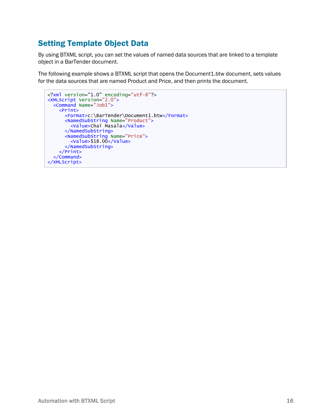# <span id="page-15-0"></span>Setting Template Object Data

By using BTXML script, you can set the values of named data sources that are linked to a template object in a BarTender document.

The following example shows a BTXML script that opens the Document1.btw document, sets values for the data sources that are named Product and Price, and then prints the document.

```
<?xml version="1.0" encoding="utf-8"?>
<XMLScript Version="2.0">
 <Command Name="Job1">
    <Print>
      <Format>c:\BarTender\Document1.btw</Format>
      <NamedSubString Name="Product">
        <Value>Chai Masala</Value>
      </NamedSubString>
      <NamedSubString Name="Price">
        \langleValue>$18.00\langleValue>
      </NamedSubString>
    \langlePrint>
  </Command>
</XMLScript>
```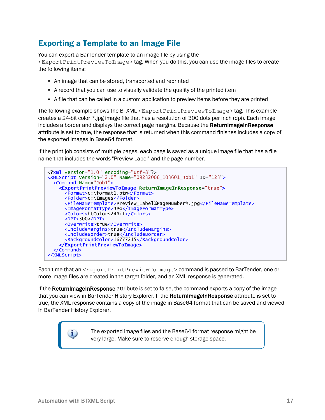# <span id="page-16-0"></span>Exporting a Template to an Image File

You can export a BarTender template to an image file by using the

<ExportPrintPreviewToImage> tag. When you do this, you can use the image files to create the following items:

- An image that can be stored, transported and reprinted
- A record that you can use to visually validate the quality of the printed item
- A file that can be called in a custom application to preview items before they are printed

The following example shows the BTXML <ExportPrintPreviewToImage> tag. This example creates a 24-bit color \*.jpg image file that has a resolution of 300 dots per inch (dpi). Each image includes a border and displays the correct page margins. Because the ReturnImageInResponse attribute is set to true, the response that is returned when this command finishes includes a copy of the exported images in Base64 format.

If the print job consists of multiple pages, each page is saved as a unique image file that has a file name that includes the words "Preview Label" and the page number.



Each time that an <ExportPrintPreviewToImage> command is passed to BarTender, one or more image files are created in the target folder, and an XML response is generated.

If the ReturnImageInResponse attribute is set to false, the command exports a copy of the image that you can view in BarTender History Explorer. If the ReturnimageInResponse attribute is set to true, the XML response contains a copy of the image in Base64 format that can be saved and viewed in BarTender History Explorer.

> The exported image files and the Base64 format response might be very large. Make sure to reserve enough storage space.

i.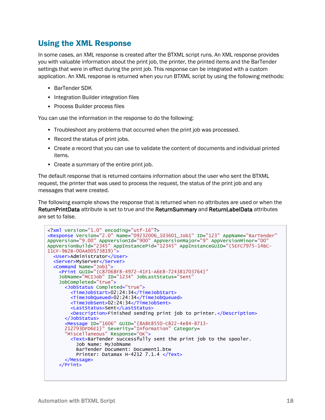## <span id="page-17-0"></span>Using the XML Response

In some cases, an XML response is created after the BTXML script runs. An XML response provides you with valuable information about the print job, the printer, the printed items and the BarTender settings that were in effect during the print job. This response can be integrated with a custom application. An XML response is returned when you run BTXML script by using the following methods:

- BarTender SDK
- Integration Builder integration files
- Process Builder process files

You can use the information in the response to do the following:

- Troubleshoot any problems that occurred when the print job was processed.
- Record the status of print jobs.
- Create a record that you can use to validate the content of documents and individual printed items.
- Create a summary of the entire print job.

The default response that is returned contains information about the user who sent the BTXML request, the printer that was used to process the request, the status of the print job and any messages that were created.

The following example shows the response that is returned when no attributes are used or when the ReturnPrintData attribute is set to true and the ReturnSummary and ReturnLabelData attributes are set to false.

```
<?xml version="1.0" encoding="utf-16"?>
<Response Version="2.0" Name="09232006_103601_Job1" ID="123" AppName="BarTender"
AppVersion="9.00" AppVersionId="900" AppVersionMajor="9" AppVersionMinor="00"
AppVersionBuild="2345" AppInstancePid="12345" AppInstanceGUID="(5EFC7975-14BC-
11CF-9B2B-00AA00573819)">
 <User>Administrator</User>
  <Server>MyServer</Server>
  <Command Name="Job1">
    <Print GUID="{C87068F8-4972-41F1-A6E8-724381703764}"
    JobName="MCIJob" ID="1234" JobLastStatus="Sent"
    JobCompleted="true">
      <JobStatus Completed="true">
        <TimeJobStart>02:24:34</TimeJobStart>
        <TimeJobQueued>02:24:34</TimeJobQueued>
        <TimeJobSent>02:24:34</TimeJobSent>
        <LastStatus>Sent</LastStatus>
        <Description>Finished sending print job to printer.</Description>
      </JobStatus>
      <Message ID="1606" GUID="{8A8E8550-C822-4e84-8713-
            212793DFD6E1}" Severity="Information" Category=
      "Miscellaneous" Response="OK">
        <Text>BarTender successfully sent the print job to the spooler.
                    Job Name: MyJobName
                    BarTender Document: Document1.btw
          Printer: Datamax H-4212 7.1.4 \langleText>
      </Message>
    </Print>
```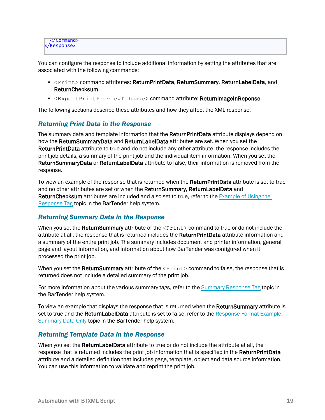```
</Command>
</Response>
```
You can configure the response to include additional information by setting the attributes that are associated with the following commands:

- <Print> command attributes: ReturnPrintData, ReturnSummary, ReturnLabelData, and ReturnChecksum.
- <ExportPrintPreviewToImage> command attribute: ReturnImageInReponse.

<span id="page-18-0"></span>The following sections describe these attributes and how they affect the XML response.

## *Returning Print Data in the Response*

The summary data and template information that the ReturnPrintData attribute displays depend on how the ReturnSummaryData and ReturnLabelData attributes are set. When you set the ReturnPrintData attribute to true and do not include any other attribute, the response includes the print job details, a summary of the print job and the individual item information. When you set the ReturnSummaryData or ReturnLabelData attribute to false, their information is removed from the response.

To view an example of the response that is returned when the ReturnPrintData attribute is set to true and no other attributes are set or when the ReturnSummary, ReturnLabelData and ReturnChecksum attributes are included and also set to true, refer to the [Example](http://help.seagullscientific.com/#../Subsystems/BTXML/Content/ResponseExample_Tag.htm) of Using the [Response](http://help.seagullscientific.com/#../Subsystems/BTXML/Content/ResponseExample_Tag.htm) Tag topic in the BarTender help system.

#### <span id="page-18-1"></span>*Returning Summary Data in the Response*

When you set the ReturnSummary attribute of the  $\leq$ Print $>$  command to true or do not include the attribute at all, the response that is returned includes the **ReturnPrintData** attribute information and a summary of the entire print job. The summary includes document and printer information, general page and layout information, and information about how BarTender was configured when it processed the print job.

When you set the ReturnSummary attribute of the  $\leq$ Print> command to false, the response that is returned does not include a detailed summary of the print job.

For more information about the various summary tags, refer to the Summary [Response](http://help.seagullscientific.com/#../Subsystems/BTXML/Content/Summary_Tag.htm) Tag topic in the BarTender help system.

To view an example that displays the response that is returned when the ReturnSummary attribute is set to true and the ReturnLabelData attribute is set to false, refer to the [Response](http://help.seagullscientific.com/#../Subsystems/BTXML/Content/ResponseExample2_Tag.htm) Format Example: [Summary](http://help.seagullscientific.com/#../Subsystems/BTXML/Content/ResponseExample2_Tag.htm) Data Only topic in the BarTender help system.

## <span id="page-18-2"></span>*Returning Template Data in the Response*

When you set the ReturnLabelData attribute to true or do not include the attribute at all, the response that is returned includes the print job information that is specified in the ReturnPrintData attribute and a detailed definition that includes page, template, object and data source information. You can use this information to validate and reprint the print job.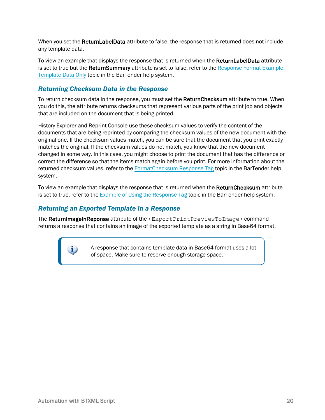When you set the **ReturnLabelData** attribute to false, the response that is returned does not include any template data.

To view an example that displays the response that is returned when the ReturnLabelData attribute is set to true but the ReturnSummary attribute is set to false, refer to the [Response](http://help.seagullscientific.com/#../Subsystems/BTXML/Content/ResponseExample3_Tag.htm) Format Example: [Template](http://help.seagullscientific.com/#../Subsystems/BTXML/Content/ResponseExample3_Tag.htm) Data Only topic in the BarTender help system.

#### <span id="page-19-0"></span>*Returning Checksum Data in the Response*

To return checksum data in the response, you must set the ReturnChecksum attribute to true. When you do this, the attribute returns checksums that represent various parts of the print job and objects that are included on the document that is being printed.

History Explorer and Reprint Console use these checksum values to verify the content of the documents that are being reprinted by comparing the checksum values of the new document with the original one. If the checksum values match, you can be sure that the document that you print exactly matches the original. If the checksum values do not match, you know that the new document changed in some way. In this case, you might choose to print the document that has the difference or correct the difference so that the items match again before you print. For more information about the returned checksum values, refer to the [FormatChecksum](http://help.seagullscientific.com/#../Subsystems/BTXML/Content/SummaryFormatChecksum_Tag.htm) Response Tag topic in the BarTender help system.

To view an example that displays the response that is returned when the **ReturnChecksum** attribute is set to true, refer to the Example of Using the [Response](http://help.seagullscientific.com/#../Subsystems/BTXML/Content/ResponseExample_Tag.htm) Tag topic in the BarTender help system.

#### <span id="page-19-1"></span>*Returning an Exported Template in a Response*

The ReturnImageInReponse attribute of the <ExportPrintPreviewToImage> command returns a response that contains an image of the exported template as a string in Base64 format.

> A response that contains template data in Base64 format uses a lot of space. Make sure to reserve enough storage space.

 $\mathbf{i}$